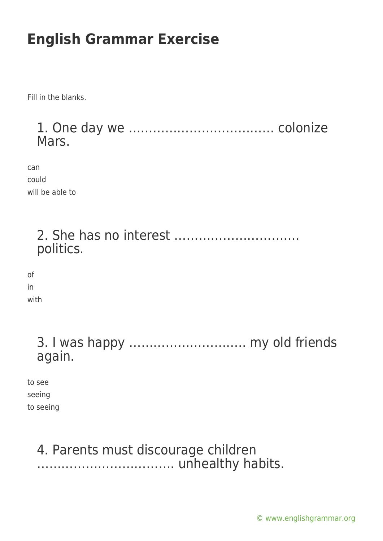Fill in the blanks.

1. One day we ……………………………… colonize Mars.

can could will be able to

> 2. She has no interest …………………………. politics.

of in with

> 3. I was happy ……………………….. my old friends again.

to see seeing to seeing

#### 4. Parents must discourage children ……………………………. unhealthy habits.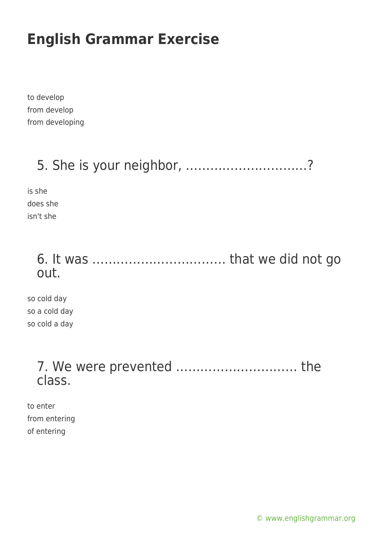to develop from develop from developing

## 5. She is your neighbor, …………………………?

is she does she isn't she

#### 6. It was …………………………… that we did not go out.

so cold day so a cold day so cold a day

#### 7. We were prevented ………………………… the class.

to enter from entering of entering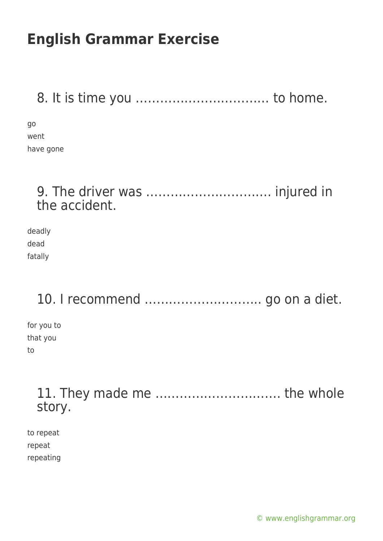8. It is time you …………………………… to home.

go went have gone

#### 9. The driver was …………………………. injured in the accident.

deadly dead fatally

### 10. I recommend ……………………….. go on a diet.

for you to that you to

> 11. They made me …………………………. the whole story.

to repeat repeat repeating